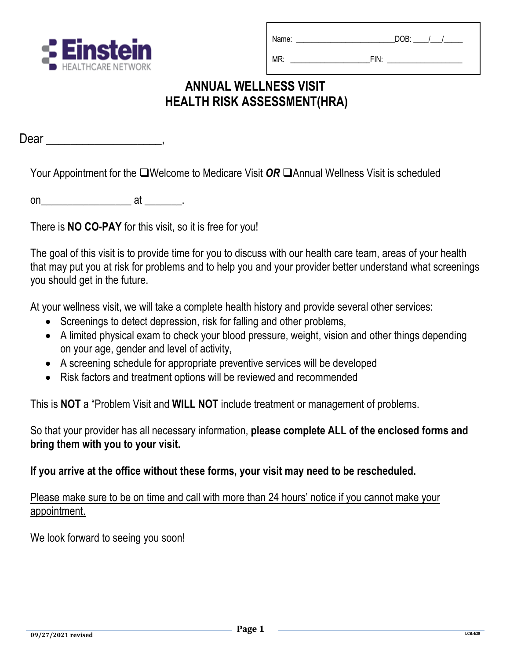

| Name: | DOB: |
|-------|------|
| MR:   | FIN: |

## **ANNUAL WELLNESS VISIT HEALTH RISK ASSESSMENT(HRA)**

Dear \_\_\_\_\_\_\_\_\_\_\_\_\_\_\_\_,

Your Appointment for the QWelcome to Medicare Visit *OR* QAnnual Wellness Visit is scheduled

on  $\qquad \qquad \text{at} \qquad \qquad .$ 

There is **NO CO-PAY** for this visit, so it is free for you!

The goal of this visit is to provide time for you to discuss with our health care team, areas of your health that may put you at risk for problems and to help you and your provider better understand what screenings you should get in the future.

At your wellness visit, we will take a complete health history and provide several other services:

- Screenings to detect depression, risk for falling and other problems,
- A limited physical exam to check your blood pressure, weight, vision and other things depending on your age, gender and level of activity,
- A screening schedule for appropriate preventive services will be developed
- Risk factors and treatment options will be reviewed and recommended

This is **NOT** a "Problem Visit and **WILL NOT** include treatment or management of problems.

So that your provider has all necessary information, **please complete ALL of the enclosed forms and bring them with you to your visit.** 

#### **If you arrive at the office without these forms, your visit may need to be rescheduled.**

Please make sure to be on time and call with more than 24 hours' notice if you cannot make your appointment.

We look forward to seeing you soon!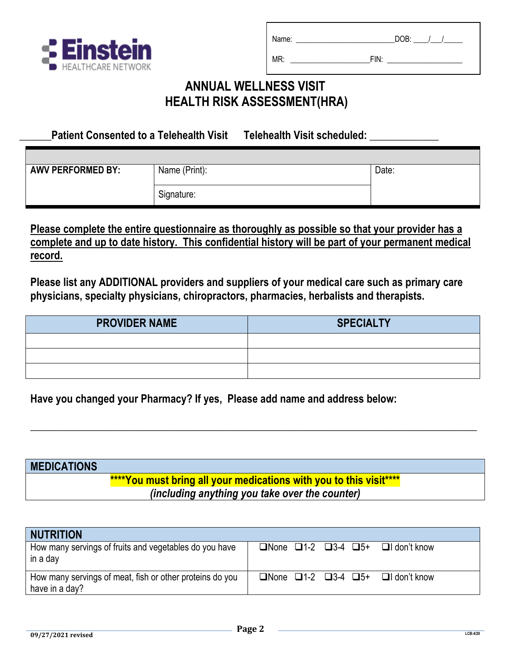

MR: \_\_\_\_\_\_\_\_\_\_\_\_\_\_\_\_\_\_\_\_\_FIN: \_\_\_\_\_\_\_\_\_\_\_\_\_\_\_\_\_\_

## **ANNUAL WELLNESS VISIT HEALTH RISK ASSESSMENT(HRA)**

 **\_\_\_\_\_\_Patient Consented to a Telehealth Visit Telehealth Visit scheduled: \_\_\_\_\_\_\_\_\_\_\_\_\_**

| <b>AWV PERFORMED BY:</b> | Name (Print): | Date: |
|--------------------------|---------------|-------|
|                          | Signature:    |       |

**Please complete the entire questionnaire as thoroughly as possible so that your provider has a complete and up to date history. This confidential history will be part of your permanent medical record.** 

**Please list any ADDITIONAL providers and suppliers of your medical care such as primary care physicians, specialty physicians, chiropractors, pharmacies, herbalists and therapists.** 

| <b>PROVIDER NAME</b> | <b>SPECIALTY</b> |
|----------------------|------------------|
|                      |                  |
|                      |                  |
|                      |                  |

**Have you changed your Pharmacy? If yes, Please add name and address below:**

### **MEDICATIONS \*\*\*\*You must bring all your medications with you to this visit\*\*\*\*** *(including anything you take over the counter)*

**\_\_\_\_\_\_\_\_\_\_\_\_\_\_\_\_\_\_\_\_\_\_\_\_\_\_\_\_\_\_\_\_\_\_\_\_\_\_\_\_\_\_\_\_\_\_\_\_\_\_\_\_\_\_\_\_\_\_\_\_\_\_\_\_\_\_\_\_\_\_\_\_\_\_\_\_\_\_\_\_\_\_\_\_**

| <b>NUTRITION</b>                                                           |                                                                 |
|----------------------------------------------------------------------------|-----------------------------------------------------------------|
| How many servings of fruits and vegetables do you have<br>in a day         | $\Box$ None $\Box$ 1-2 $\Box$ 3-4 $\Box$ 5+ $\Box$ I don't know |
| How many servings of meat, fish or other proteins do you<br>have in a day? | $\Box$ None $\Box$ 1-2 $\Box$ 3-4 $\Box$ 5+ $\Box$ I don't know |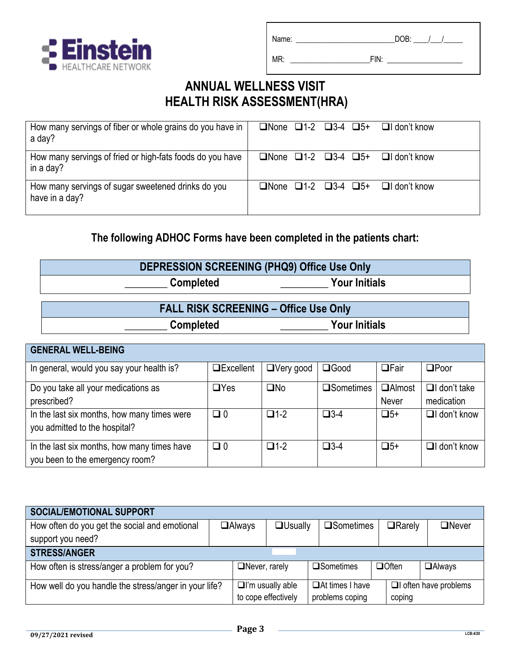

MR: \_\_\_\_\_\_\_\_\_\_\_\_\_\_\_\_\_\_\_\_\_FIN: \_\_\_\_\_\_\_\_\_\_\_\_\_\_\_\_\_\_

# **ANNUAL WELLNESS VISIT HEALTH RISK ASSESSMENT(HRA)**

| How many servings of fiber or whole grains do you have in<br>a day?    | $\Box$ None $\Box$ 1-2 $\Box$ 3-4 $\Box$ 5+ $\Box$ I don't know |  |
|------------------------------------------------------------------------|-----------------------------------------------------------------|--|
| How many servings of fried or high-fats foods do you have<br>in a day? | $\Box$ None $\Box$ 1-2 $\Box$ 3-4 $\Box$ 5+ $\Box$ I don't know |  |
| How many servings of sugar sweetened drinks do you<br>have in a day?   | $\Box$ None $\Box$ 1-2 $\Box$ 3-4 $\Box$ 5+ $\Box$ I don't know |  |

#### **The following ADHOC Forms have been completed in the patients chart:**

| DEPRESSION SCREENING (PHQ9) Office Use Only |                      |
|---------------------------------------------|----------------------|
| <b>Completed</b>                            | <b>Your Initials</b> |
|                                             |                      |

|                  | <b>FALL RISK SCREENING - Office Use Only</b> |  |
|------------------|----------------------------------------------|--|
| <b>Completed</b> | <b>Your Initials</b>                         |  |

| <b>GENERAL WELL-BEING</b>                                                      |                   |                  |                     |                         |                                   |
|--------------------------------------------------------------------------------|-------------------|------------------|---------------------|-------------------------|-----------------------------------|
| In general, would you say your health is?                                      | <b>QExcellent</b> | $\Box$ Very good | $\square$ Good      | $\Box$ Fair             | $\square$ Poor                    |
| Do you take all your medications as<br>prescribed?                             | $\Box$ Yes        | $\square$ No     | $\square$ Sometimes | <b>QAlmost</b><br>Never | $\Box$ I don't take<br>medication |
| In the last six months, how many times were<br>you admitted to the hospital?   | $\Box$ 0          | $\Box$ 1-2       | $\Box$ 3-4          | $\Box 5+$               | $\Box$ I don't know               |
| In the last six months, how many times have<br>you been to the emergency room? | $\Box$ 0          | $\Box$ 1-2       | $\square$ 3-4       | $\Box 5+$               | $\Box$ I don't know               |

| <b>SOCIAL/EMOTIONAL SUPPORT</b>                       |  |                      |                         |  |                        |  |                            |                 |
|-------------------------------------------------------|--|----------------------|-------------------------|--|------------------------|--|----------------------------|-----------------|
| How often do you get the social and emotional         |  | <b>OA</b> lways      | $\Box$ Usually          |  | <b>□Sometimes</b>      |  | $\Box$ Rarely              | $\square$ Never |
| support you need?                                     |  |                      |                         |  |                        |  |                            |                 |
| <b>STRESS/ANGER</b>                                   |  |                      |                         |  |                        |  |                            |                 |
| How often is stress/anger a problem for you?          |  | $\Box$ Never, rarely |                         |  | $\square$ Sometimes    |  | $\Box$ Often               | $\Box$ Always   |
| How well do you handle the stress/anger in your life? |  |                      | $\Box$ I'm usually able |  | $\Box$ At times I have |  | $\Box$ often have problems |                 |
|                                                       |  |                      | to cope effectively     |  | problems coping        |  | coping                     |                 |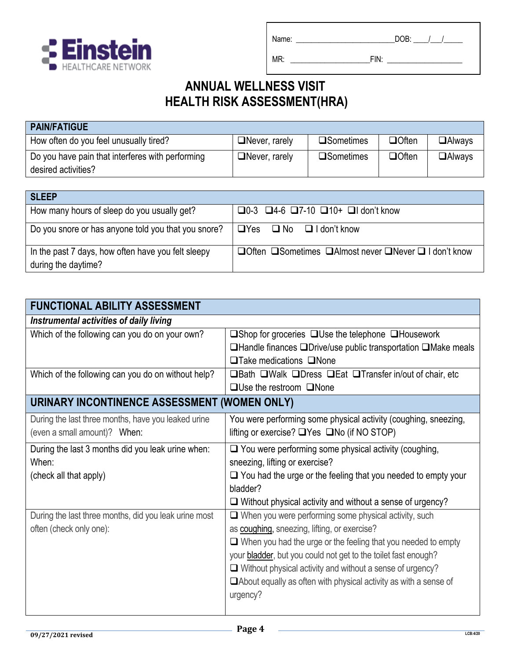

MR: \_\_\_\_\_\_\_\_\_\_\_\_\_\_\_\_\_\_\_\_\_FIN: \_\_\_\_\_\_\_\_\_\_\_\_\_\_\_\_\_\_

| <b>PAIN/FATIGUE</b>                              |                      |                     |              |                  |
|--------------------------------------------------|----------------------|---------------------|--------------|------------------|
| How often do you feel unusually tired?           | $\Box$ Never, rarely | $\square$ Sometimes | $\Box$ Often | $\square$ Always |
| Do you have pain that interferes with performing | $\Box$ Never, rarely | $\square$ Sometimes | $\Box$ Often | $\square$ Always |
| desired activities?                              |                      |                     |              |                  |

| <b>SLEEP</b>                                                              |                                                                                    |
|---------------------------------------------------------------------------|------------------------------------------------------------------------------------|
| How many hours of sleep do you usually get?                               | $\Box$ 0-3 $\Box$ 4-6 $\Box$ 7-10 $\Box$ 10+ $\Box$ I don't know                   |
| Do you snore or has anyone told you that you snore?                       | $ \Box Y$ es $\Box$ No $\Box$ I don't know                                         |
| In the past 7 days, how often have you felt sleepy<br>during the daytime? | $\Box$ Often $\Box$ Sometimes $\Box$ Almost never $\Box$ Never $\Box$ I don't know |

| <b>FUNCTIONAL ABILITY ASSESSMENT</b>                  |                                                                                      |
|-------------------------------------------------------|--------------------------------------------------------------------------------------|
| Instrumental activities of daily living               |                                                                                      |
| Which of the following can you do on your own?        | $\Box$ Shop for groceries $\Box$ Use the telephone $\Box$ Housework                  |
|                                                       | $\Box$ Handle finances $\Box$ Drive/use public transportation $\Box$ Make meals      |
|                                                       | $\Box$ Take medications $\Box$ None                                                  |
| Which of the following can you do on without help?    | $\Box$ Bath $\Box$ Walk $\Box$ Dress $\Box$ Eat $\Box$ Transfer in/out of chair, etc |
|                                                       | $\Box$ Use the restroom $\Box$ None                                                  |
| URINARY INCONTINENCE ASSESSMENT (WOMEN ONLY)          |                                                                                      |
| During the last three months, have you leaked urine   | You were performing some physical activity (coughing, sneezing,                      |
| (even a small amount)? When:                          | lifting or exercise? $\Box$ Yes $\Box$ No (if NO STOP)                               |
| During the last 3 months did you leak urine when:     | $\Box$ You were performing some physical activity (coughing,                         |
| When:                                                 | sneezing, lifting or exercise?                                                       |
| (check all that apply)                                | $\Box$ You had the urge or the feeling that you needed to empty your                 |
|                                                       | bladder?                                                                             |
|                                                       | $\Box$ Without physical activity and without a sense of urgency?                     |
| During the last three months, did you leak urine most | $\Box$ When you were performing some physical activity, such                         |
| often (check only one):                               | as coughing, sneezing, lifting, or exercise?                                         |
|                                                       | $\Box$ When you had the urge or the feeling that you needed to empty                 |
|                                                       | your <b>bladder</b> , but you could not get to the toilet fast enough?               |
|                                                       | $\Box$ Without physical activity and without a sense of urgency?                     |
|                                                       | $\Box$ About equally as often with physical activity as with a sense of              |
|                                                       | urgency?                                                                             |
|                                                       |                                                                                      |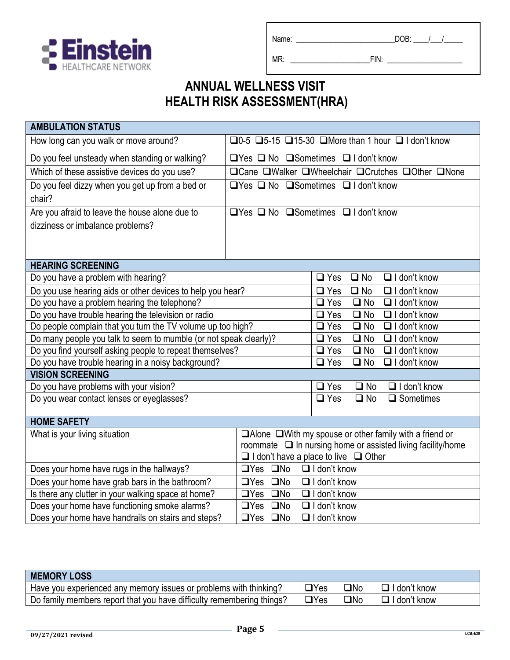

| Name: |  |
|-------|--|

 $\begin{array}{|c|c|c|c|c|}\n \hline\n & \multicolumn{1}{c|}{\text{DOB:}} & \multicolumn{1}{c|}{\text{OOB:}} & \multicolumn{1}{c|}{\text{OOB:}}\n \hline\n \end{array}$ 

MR: \_\_\_\_\_\_\_\_\_\_\_\_\_\_\_\_\_\_\_\_\_FIN: \_\_\_\_\_\_\_\_\_\_\_\_\_\_\_\_\_\_

| <b>AMBULATION STATUS</b>                                                                                             |                            |                                                                                                |  |  |
|----------------------------------------------------------------------------------------------------------------------|----------------------------|------------------------------------------------------------------------------------------------|--|--|
| How long can you walk or move around?                                                                                |                            | $\square$ 0-5 $\square$ 5-15 $\square$ 15-30 $\square$ More than 1 hour $\square$ I don't know |  |  |
| Do you feel unsteady when standing or walking?                                                                       |                            | $\Box$ Yes $\Box$ No $\Box$ Sometimes $\Box$ I don't know                                      |  |  |
| Which of these assistive devices do you use?                                                                         |                            | □Cane □Walker □Wheelchair □Crutches □Other □None                                               |  |  |
| Do you feel dizzy when you get up from a bed or                                                                      |                            | $\Box$ Yes $\Box$ No $\Box$ Sometimes $\Box$ I don't know                                      |  |  |
| chair?                                                                                                               |                            |                                                                                                |  |  |
| Are you afraid to leave the house alone due to                                                                       |                            | $\Box$ Yes $\Box$ No $\Box$ Sometimes $\Box$ I don't know                                      |  |  |
| dizziness or imbalance problems?                                                                                     |                            |                                                                                                |  |  |
|                                                                                                                      |                            |                                                                                                |  |  |
|                                                                                                                      |                            |                                                                                                |  |  |
| <b>HEARING SCREENING</b>                                                                                             |                            |                                                                                                |  |  |
| Do you have a problem with hearing?                                                                                  |                            | $\Box$ I don't know<br>$\Box$ Yes<br>$\square$ No                                              |  |  |
| Do you use hearing aids or other devices to help you hear?                                                           |                            | $\Box$ Yes<br>$\square$ No<br>$\Box$ I don't know                                              |  |  |
| Do you have a problem hearing the telephone?                                                                         |                            | $\Box$ I don't know<br>$\Box$ Yes<br>$\square$ No                                              |  |  |
| Do you have trouble hearing the television or radio                                                                  |                            | $\Box$ Yes<br>$\square$ No<br>$\Box$ I don't know                                              |  |  |
| Do people complain that you turn the TV volume up too high?                                                          |                            | $\Box$ Yes<br>$\square$ No<br>$\Box$ I don't know                                              |  |  |
| Do many people you talk to seem to mumble (or not speak clearly)?                                                    |                            | $\Box$ Yes<br>$\square$ No<br>$\Box$ I don't know                                              |  |  |
| Do you find yourself asking people to repeat themselves?                                                             |                            | $\square$ No<br>$\Box$ I don't know<br>$\Box$ Yes                                              |  |  |
| Do you have trouble hearing in a noisy background?                                                                   |                            | $\Box$ Yes<br>$\square$ No<br>$\Box$ I don't know                                              |  |  |
| <b>VISION SCREENING</b>                                                                                              |                            |                                                                                                |  |  |
| Do you have problems with your vision?                                                                               |                            | $\Box$ Yes<br>$\square$ No<br>$\Box$ I don't know                                              |  |  |
| Do you wear contact lenses or eyeglasses?                                                                            |                            | $\Box$ Yes<br>$\square$ No<br>$\square$ Sometimes                                              |  |  |
|                                                                                                                      |                            |                                                                                                |  |  |
| <b>HOME SAFETY</b><br>$\Box$ Alone $\Box$ With my spouse or other family with a friend or                            |                            |                                                                                                |  |  |
| What is your living situation                                                                                        |                            |                                                                                                |  |  |
| roommate $\Box$ In nursing home or assisted living facility/home<br>$\Box$ I don't have a place to live $\Box$ Other |                            |                                                                                                |  |  |
| $\Box$ Yes $\Box$ No<br>Does your home have rugs in the hallways?                                                    |                            | $\Box$ I don't know                                                                            |  |  |
| Does your home have grab bars in the bathroom?                                                                       | $\Box$ Yes $\Box$ No       | $\Box$ I don't know                                                                            |  |  |
| Is there any clutter in your walking space at home?                                                                  | $\square$ No<br>$\Box$ Yes | $\Box$ I don't know                                                                            |  |  |
| Does your home have functioning smoke alarms?                                                                        | $\Box$ Yes $\Box$ No       | $\Box$ I don't know                                                                            |  |  |
| Does your home have handrails on stairs and steps?                                                                   | $\Box$ Yes $\Box$ No       | $\Box$ I don't know                                                                            |  |  |

| <b>MEMORY LOSS</b>                                                    |               |            |                |
|-----------------------------------------------------------------------|---------------|------------|----------------|
| Have you experienced any memory issues or problems with thinking?     | $\neg$ Yes    | <b>TNo</b> | I don't know   |
| Do family members report that you have difficulty remembering things? | $\bigcap$ Yes | JNo        | □ I don't know |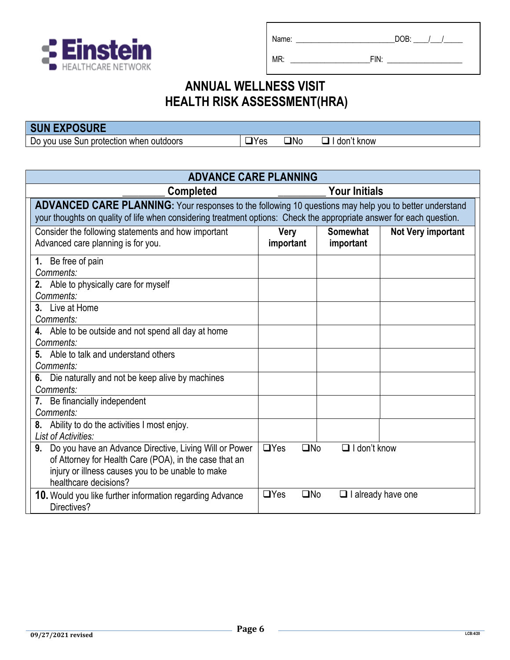

MR: \_\_\_\_\_\_\_\_\_\_\_\_\_\_\_\_\_\_\_\_\_FIN: \_\_\_\_\_\_\_\_\_\_\_\_\_\_\_\_\_\_

| <b>SUN EXPOSURE</b>                     |            |              |            |
|-----------------------------------------|------------|--------------|------------|
| Do you use Sun protection when outdoors | $\neg$ Yes | $\square$ No | don't know |

| <b>ADVANCE CARE PLANNING</b>                                                                                                                                                                                                          |                          |                                     |                           |
|---------------------------------------------------------------------------------------------------------------------------------------------------------------------------------------------------------------------------------------|--------------------------|-------------------------------------|---------------------------|
| <b>Completed</b>                                                                                                                                                                                                                      |                          | <b>Your Initials</b>                |                           |
| <b>ADVANCED CARE PLANNING:</b> Your responses to the following 10 questions may help you to better understand<br>your thoughts on quality of life when considering treatment options: Check the appropriate answer for each question. |                          |                                     |                           |
| Consider the following statements and how important<br>Advanced care planning is for you.                                                                                                                                             | <b>Very</b><br>important | <b>Somewhat</b><br>important        | Not Very important        |
| 1. Be free of pain<br>Comments:<br>2. Able to physically care for myself                                                                                                                                                              |                          |                                     |                           |
| Comments:                                                                                                                                                                                                                             |                          |                                     |                           |
| 3. Live at Home<br>Comments:                                                                                                                                                                                                          |                          |                                     |                           |
| 4. Able to be outside and not spend all day at home<br>Comments:                                                                                                                                                                      |                          |                                     |                           |
| Able to talk and understand others<br>5.<br>Comments:                                                                                                                                                                                 |                          |                                     |                           |
| 6. Die naturally and not be keep alive by machines<br>Comments:                                                                                                                                                                       |                          |                                     |                           |
| 7. Be financially independent<br>Comments:                                                                                                                                                                                            |                          |                                     |                           |
| Ability to do the activities I most enjoy.<br>8.<br>List of Activities:                                                                                                                                                               |                          |                                     |                           |
| Do you have an Advance Directive, Living Will or Power<br>9.<br>of Attorney for Health Care (POA), in the case that an<br>injury or illness causes you to be unable to make<br>healthcare decisions?                                  | $\Box$ Yes               | $\Box$ I don't know<br>$\square$ No |                           |
| <b>10.</b> Would you like further information regarding Advance<br>Directives?                                                                                                                                                        | $\Box$ Yes               | $\square$ No                        | $\Box$ I already have one |